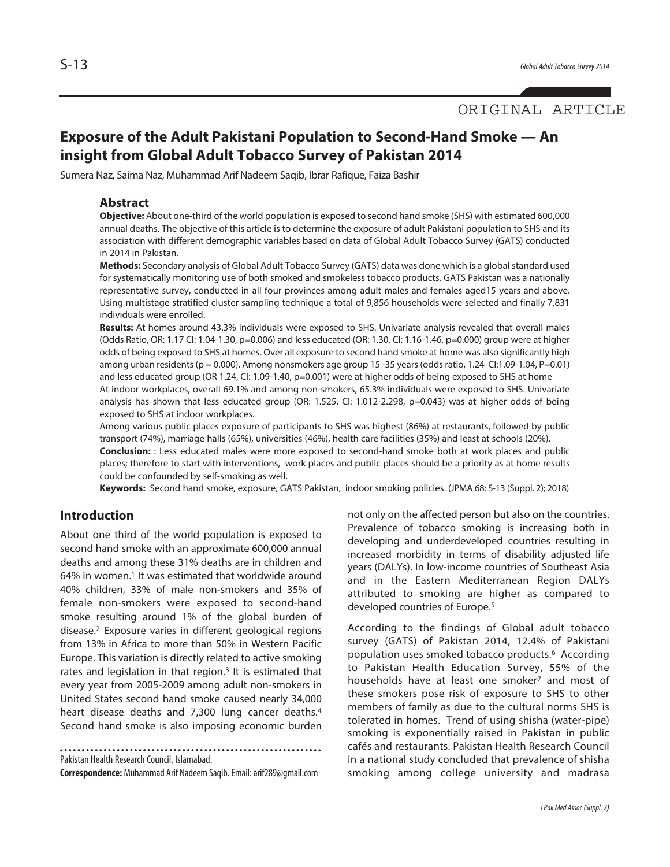# ORIGINAL ARTICLE

# **Exposure of the Adult Pakistani Population to Second-Hand Smoke — An insight from Global Adult Tobacco Survey of Pakistan 2014**

Sumera Naz, Saima Naz, Muhammad Arif Nadeem Saqib, Ibrar Rafique, Faiza Bashir

### **Abstract**

**Objective:** About one-third of the world population is exposed to second hand smoke (SHS) with estimated 600,000 annual deaths. The objective of this article is to determine the exposure of adult Pakistani population to SHS and its association with different demographic variables based on data of Global Adult Tobacco Survey (GATS) conducted in 2014 in Pakistan.

Methods: Secondary analysis of Global Adult Tobacco Survey (GATS) data was done which is a global standard used for systematically monitoring use of both smoked and smokeless tobacco products. GATS Pakistan was a nationally representative survey, conducted in all four provinces among adult males and females aged15 years and above. Using multistage stratified cluster sampling technique a total of 9,856 households were selected and finally 7,831 individuals were enrolled.

**Results:** At homes around 43.3% individuals were exposed to SHS. Univariate analysis revealed that overall males (Odds Ratio, OR: 1.17 CI: 1.04-1.30, p=0.006) and less educated (OR: 1.30, CI: 1.16-1.46, p=0.000) group were at higher odds of being exposed to SHS at homes. Over all exposure to second hand smoke at home was also significantly high among urban residents(p = 0.000). Among nonsmokers age group 15 -35 years(oddsratio, 1.24 CI:1.09-1.04, P=0.01) and less educated group (OR 1.24, CI: 1.09-1.40, p=0.001) were at higher odds of being exposed to SHS at home

At indoor workplaces, overall 69.1% and among non-smokers, 65.3% individuals were exposed to SHS. Univariate analysis has shown that less educated group (OR: 1.525, CI: 1.012-2.298, p=0.043) was at higher odds of being exposed to SHS at indoor workplaces.

Among various public places exposure of participants to SHS was highest (86%) at restaurants, followed by public transport (74%), marriage halls (65%), universities (46%), health care facilities (35%) and least at schools (20%).

**Conclusion:** : Less educated males were more exposed to second-hand smoke both at work places and public places; therefore to start with interventions, work places and public places should be a priority as at home results could be confounded by self-smoking as well.

**Keywords:** Second hand smoke, exposure, GATS Pakistan, indoor smoking policies. (JPMA 68: S-13 (Suppl. 2); 2018)

## **Introduction**

About one third of the world population is exposed to second hand smoke with an approximate 600,000 annual deaths and among these 31% deaths are in children and 64% in women. <sup>1</sup> It was estimated that worldwide around 40% children, 33% of male non-smokers and 35% of female non-smokers were exposed to second-hand smoke resulting around 1% of the global burden of disease. <sup>2</sup> Exposure varies in different geological regions from 13% in Africa to more than 50% in Western Pacific Europe. This variation is directly related to active smoking rates and legislation in that region.<sup>3</sup> It is estimated that every year from 2005-2009 among adult non-smokers in United States second hand smoke caused nearly 34,000 heart disease deaths and 7,300 lung cancer deaths. 4 Second hand smoke is also imposing economic burden

Pakistan Health Research Council, Islamabad.

**Correspondence:** Muhammad Arif Nadeem Saqib.Email:arif289@gmail.com

not only on the affected person but also on the countries. Prevalence of tobacco smoking is increasing both in developing and underdeveloped countries resulting in increased morbidity in terms of disability adjusted life years (DALYs). In low-income countries of Southeast Asia and in the Eastern Mediterranean Region DALYs attributed to smoking are higher as compared to developed countries of Europe. 5

According to the findings of Global adult tobacco survey (GATS) of Pakistan 2014, 12.4% of Pakistani population uses smoked tobacco products. <sup>6</sup> According to Pakistan Health Education Survey, 55% of the households have at least one smoker7 and most of these smokers pose risk of exposure to SHS to other members of family as due to the cultural norms SHS is tolerated in homes. Trend of using shisha (water-pipe) smoking is exponentially raised in Pakistan in public cafés and restaurants. Pakistan Health Research Council in a national study concluded that prevalence of shisha smoking among college university and madrasa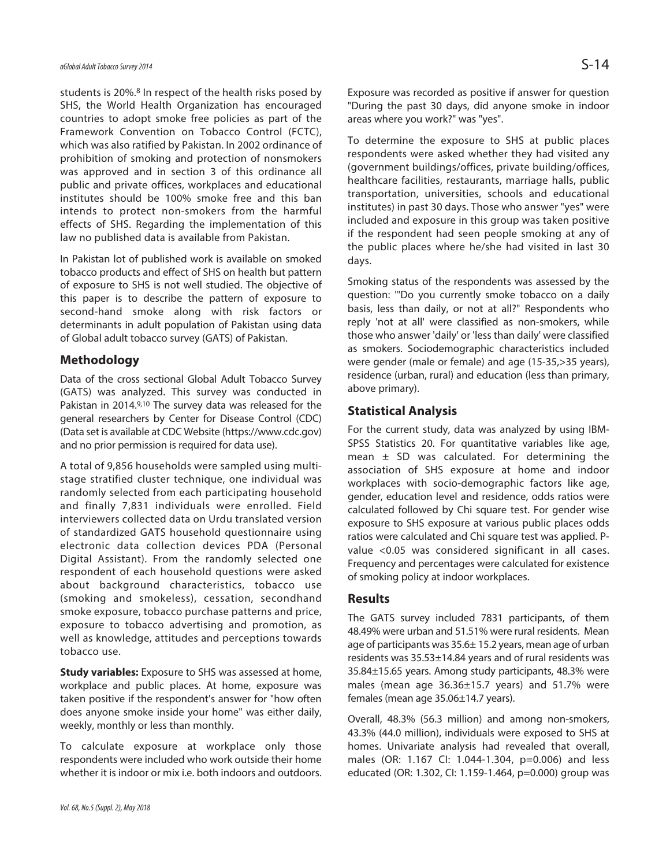students is 20%. <sup>8</sup> In respect of the health risks posed by SHS, the World Health Organization has encouraged countries to adopt smoke free policies as part of the Framework Convention on Tobacco Control (FCTC), which was also ratified by Pakistan. In 2002 ordinance of prohibition of smoking and protection of nonsmokers was approved and in section 3 of this ordinance all public and private offices, workplaces and educational institutes should be 100% smoke free and this ban intends to protect non-smokers from the harmful effects of SHS. Regarding the implementation of this law no published data is available from Pakistan.

In Pakistan lot of published work is available on smoked tobacco products and effect of SHS on health but pattern of exposure to SHS is not well studied. The objective of this paper is to describe the pattern of exposure to second-hand smoke along with risk factors or determinants in adult population of Pakistan using data of Global adult tobacco survey (GATS) of Pakistan.

# **Methodology**

Data of the cross sectional Global Adult Tobacco Survey (GATS) was analyzed. This survey was conducted in Pakistan in 2014.<sup>9,10</sup> The survey data was released for the general researchers by Center for Disease Control (CDC) (Data set is available at CDC Website (https://www.cdc.gov) and no prior permission is required for data use).

A total of 9,856 households were sampled using multistage stratified cluster technique, one individual was randomly selected from each participating household and finally 7,831 individuals were enrolled. Field interviewers collected data on Urdu translated version of standardized GATS household questionnaire using electronic data collection devices PDA (Personal Digital Assistant). From the randomly selected one respondent of each household questions were asked about background characteristics, tobacco use (smoking and smokeless), cessation, secondhand smoke exposure, tobacco purchase patterns and price, exposure to tobacco advertising and promotion, as well as knowledge, attitudes and perceptions towards tobacco use.

**Study variables:** Exposure to SHS was assessed at home, workplace and public places. At home, exposure was taken positive if the respondent's answer for "how often does anyone smoke inside your home" was either daily, weekly, monthly or less than monthly.

To calculate exposure at workplace only those respondents were included who work outside their home whether it is indoor or mix i.e. both indoors and outdoors. Exposure was recorded as positive if answer for question "During the past 30 days, did anyone smoke in indoor areas where you work?" was "yes".

To determine the exposure to SHS at public places respondents were asked whether they had visited any (government buildings/offices, private building/offices, healthcare facilities, restaurants, marriage halls, public transportation, universities, schools and educational institutes) in past 30 days. Those who answer "yes" were included and exposure in this group was taken positive if the respondent had seen people smoking at any of the public places where he/she had visited in last 30 days.

Smoking status of the respondents was assessed by the question: "'Do you currently smoke tobacco on a daily basis, less than daily, or not at all?" Respondents who reply 'not at all' were classified as non-smokers, while those who answer 'daily' or 'less than daily' were classified as smokers. Sociodemographic characteristics included were gender (male or female) and age (15-35,>35 years), residence (urban, rural) and education (less than primary, above primary).

# **Statistical Analysis**

For the current study, data was analyzed by using IBM-SPSS Statistics 20. For quantitative variables like age, mean  $\pm$  SD was calculated. For determining the association of SHS exposure at home and indoor workplaces with socio-demographic factors like age, gender, education level and residence, odds ratios were calculated followed by Chi square test. For gender wise exposure to SHS exposure at various public places odds ratios were calculated and Chi square test was applied. Pvalue <0.05 was considered significant in all cases. Frequency and percentages were calculated for existence of smoking policy at indoor workplaces.

### **Results**

The GATS survey included 7831 participants, of them 48.49% were urban and 51.51% were rural residents. Mean age of participants was 35.6± 15.2 years, mean age of urban residents was 35.53±14.84 years and of rural residents was 35.84±15.65 years. Among study participants, 48.3% were males (mean age 36.36±15.7 years) and 51.7% were females (mean age 35.06±14.7 years).

Overall, 48.3% (56.3 million) and among non-smokers, 43.3% (44.0 million), individuals were exposed to SHS at homes. Univariate analysis had revealed that overall, males (OR: 1.167 CI: 1.044-1.304, p=0.006) and less educated (OR: 1.302, CI: 1.159-1.464, p=0.000) group was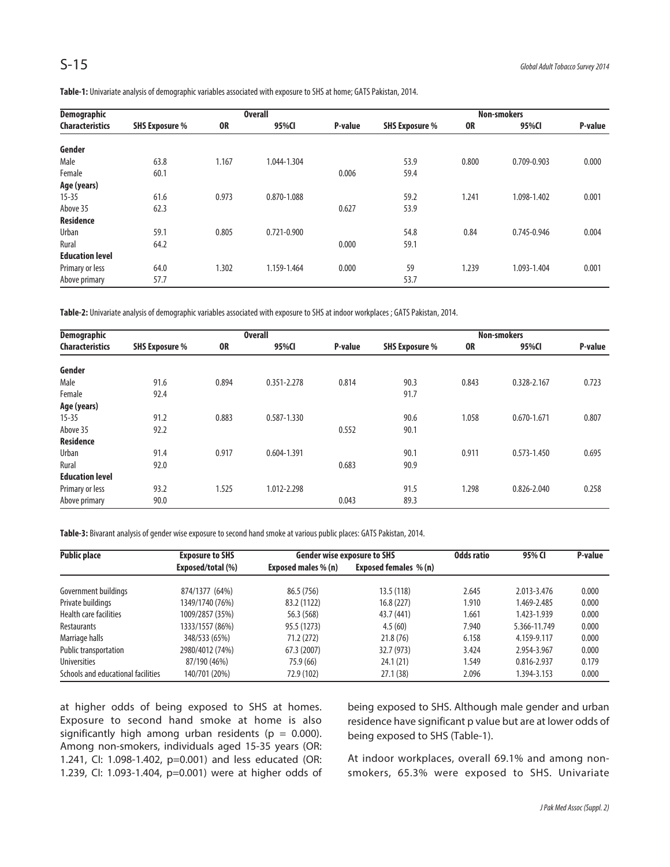|  | Table-1: Univariate analysis of demographic variables associated with exposure to SHS at home; GATS Pakistan, 2014. |  |
|--|---------------------------------------------------------------------------------------------------------------------|--|
|  |                                                                                                                     |  |

| <b>Demographic</b>     |                       |           | <b>Overall</b>  |         | <b>Non-smokers</b>    |           |             |         |
|------------------------|-----------------------|-----------|-----------------|---------|-----------------------|-----------|-------------|---------|
| <b>Characteristics</b> | <b>SHS Exposure %</b> | <b>OR</b> | 95%CI           | P-value | <b>SHS Exposure %</b> | <b>OR</b> | 95%CI       | P-value |
| Gender                 |                       |           |                 |         |                       |           |             |         |
| Male                   | 63.8                  | 1.167     | 1.044-1.304     |         | 53.9                  | 0.800     | 0.709-0.903 | 0.000   |
| Female                 | 60.1                  |           |                 | 0.006   | 59.4                  |           |             |         |
| Age (years)            |                       |           |                 |         |                       |           |             |         |
| $15 - 35$              | 61.6                  | 0.973     | 0.870-1.088     |         | 59.2                  | 1.241     | 1.098-1.402 | 0.001   |
| Above 35               | 62.3                  |           |                 | 0.627   | 53.9                  |           |             |         |
| <b>Residence</b>       |                       |           |                 |         |                       |           |             |         |
| Urban                  | 59.1                  | 0.805     | $0.721 - 0.900$ |         | 54.8                  | 0.84      | 0.745-0.946 | 0.004   |
| Rural                  | 64.2                  |           |                 | 0.000   | 59.1                  |           |             |         |
| <b>Education level</b> |                       |           |                 |         |                       |           |             |         |
| Primary or less        | 64.0                  | 1.302     | 1.159-1.464     | 0.000   | 59                    | 1.239     | 1.093-1.404 | 0.001   |
| Above primary          | 57.7                  |           |                 |         | 53.7                  |           |             |         |

Table-2: Univariate analysis of demographic variables associated with exposure to SHS at indoor workplaces ; GATS Pakistan, 2014.

| <b>Demographic</b>     |                       |           | <b>Overall</b> |         |                       |           | <b>Non-smokers</b> |         |
|------------------------|-----------------------|-----------|----------------|---------|-----------------------|-----------|--------------------|---------|
| <b>Characteristics</b> | <b>SHS Exposure %</b> | <b>OR</b> | 95%CI          | P-value | <b>SHS Exposure %</b> | <b>OR</b> | 95%CI              | P-value |
| Gender                 |                       |           |                |         |                       |           |                    |         |
| Male                   | 91.6                  | 0.894     | 0.351-2.278    | 0.814   | 90.3                  | 0.843     | 0.328-2.167        | 0.723   |
| Female                 | 92.4                  |           |                |         | 91.7                  |           |                    |         |
| Age (years)            |                       |           |                |         |                       |           |                    |         |
| $15 - 35$              | 91.2                  | 0.883     | 0.587-1.330    |         | 90.6                  | 1.058     | $0.670 - 1.671$    | 0.807   |
| Above 35               | 92.2                  |           |                | 0.552   | 90.1                  |           |                    |         |
| <b>Residence</b>       |                       |           |                |         |                       |           |                    |         |
| Urban                  | 91.4                  | 0.917     | 0.604-1.391    |         | 90.1                  | 0.911     | $0.573 - 1.450$    | 0.695   |
| Rural                  | 92.0                  |           |                | 0.683   | 90.9                  |           |                    |         |
| <b>Education level</b> |                       |           |                |         |                       |           |                    |         |
| Primary or less        | 93.2                  | 1.525     | 1.012-2.298    |         | 91.5                  | 1.298     | 0.826-2.040        | 0.258   |
| Above primary          | 90.0                  |           |                | 0.043   | 89.3                  |           |                    |         |

Table-3: Bivarant analysis of gender wise exposure to second hand smoke at various public places: GATS Pakistan, 2014.

| <b>Public place</b>                | <b>Exposure to SHS</b> | <b>Gender wise exposure to SHS</b> | Odds ratio                   | 95% CI | P-value      |       |
|------------------------------------|------------------------|------------------------------------|------------------------------|--------|--------------|-------|
|                                    | Exposed/total (%)      | Exposed males % (n)                | <b>Exposed females % (n)</b> |        |              |       |
| Government buildings               | 874/1377 (64%)         | 86.5 (756)                         | 13.5(118)                    | 2.645  | 2.013-3.476  | 0.000 |
| Private buildings                  | 1349/1740 (76%)        | 83.2 (1122)                        | 16.8(227)                    | 1.910  | 1.469-2.485  | 0.000 |
| Health care facilities             | 1009/2857 (35%)        | 56.3 (568)                         | 43.7 (441)                   | 1.661  | 1.423-1.939  | 0.000 |
| Restaurants                        | 1333/1557 (86%)        | 95.5 (1273)                        | 4.5(60)                      | 7.940  | 5.366-11.749 | 0.000 |
| Marriage halls                     | 348/533 (65%)          | 71.2 (272)                         | 21.8(76)                     | 6.158  | 4.159-9.117  | 0.000 |
| Public transportation              | 2980/4012 (74%)        | 67.3 (2007)                        | 32.7 (973)                   | 3.424  | 2.954-3.967  | 0.000 |
| <b>Universities</b>                | 87/190 (46%)           | 75.9 (66)                          | 24.1 (21)                    | 1.549  | 0.816-2.937  | 0.179 |
| Schools and educational facilities | 140/701 (20%)          | 72.9 (102)                         | 27.1(38)                     | 2.096  | 1.394-3.153  | 0.000 |

at higher odds of being exposed to SHS at homes. Exposure to second hand smoke at home is also significantly high among urban residents ( $p = 0.000$ ). Among non-smokers, individuals aged 15-35 years (OR: 1.241, CI: 1.098-1.402, p=0.001) and less educated (OR: 1.239, CI: 1.093-1.404, p=0.001) were at higher odds of being exposed to SHS. Although male gender and urban residence have significant p value but are at lower odds of being exposed to SHS (Table-1).

At indoor workplaces, overall 69.1% and among nonsmokers, 65.3% were exposed to SHS. Univariate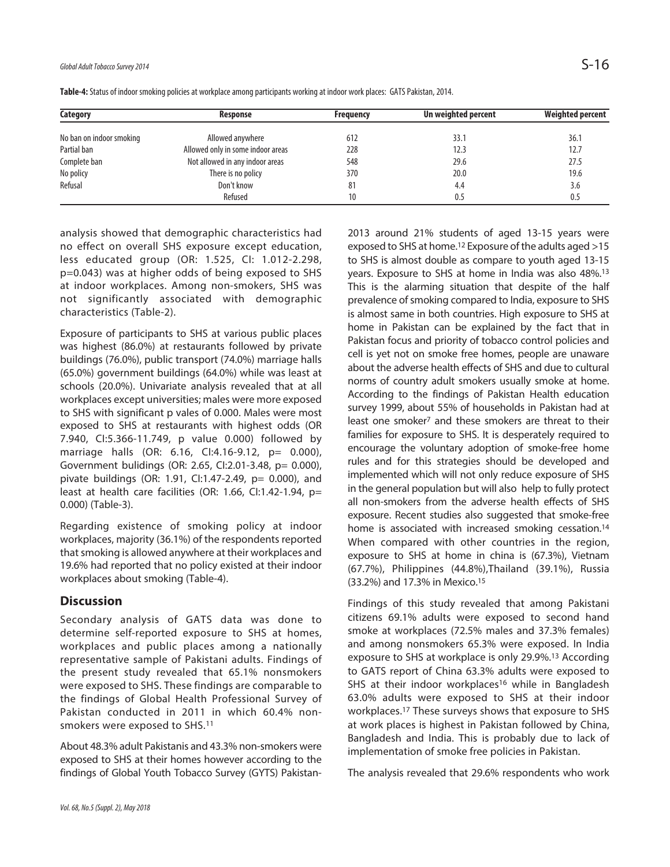| Category                 | Response                          | <b>Frequency</b> | Un weighted percent | <b>Weighted percent</b> |
|--------------------------|-----------------------------------|------------------|---------------------|-------------------------|
| No ban on indoor smoking | Allowed anywhere                  | 612              | 33.1                | 36.1                    |
| Partial ban              | Allowed only in some indoor areas | 228              | 12.3                | 12.7                    |
| Complete ban             | Not allowed in any indoor areas   | 548              | 29.6                | 27.5                    |
| No policy                | There is no policy                | 370              | 20.0                | 19.6                    |
| Refusal                  | Don't know                        | 81               | 4.4                 | 3.6                     |
|                          | Refused                           | 10               | 0.5                 | 0.5                     |

Table-4: Status of indoor smoking policies at workplace among participants working at indoor work places: GATS Pakistan, 2014.

analysis showed that demographic characteristics had no effect on overall SHS exposure except education, less educated group (OR: 1.525, CI: 1.012-2.298, p=0.043) was at higher odds of being exposed to SHS at indoor workplaces. Among non-smokers, SHS was not significantly associated with demographic characteristics (Table-2).

Exposure of participants to SHS at various public places was highest (86.0%) at restaurants followed by private buildings (76.0%), public transport (74.0%) marriage halls (65.0%) government buildings (64.0%) while was least at schools (20.0%). Univariate analysis revealed that at all workplaces except universities; males were more exposed to SHS with significant p vales of 0.000. Males were most exposed to SHS at restaurants with highest odds (OR 7.940, CI:5.366-11.749, p value 0.000) followed by marriage halls (OR: 6.16, CI:4.16-9.12, p= 0.000), Government bulidings (OR: 2.65, CI:2.01-3.48, p= 0.000), pivate buildings (OR: 1.91, CI:1.47-2.49, p= 0.000), and least at health care facilities (OR: 1.66, CI:1.42-1.94, p= 0.000) (Table-3).

Regarding existence of smoking policy at indoor workplaces, majority (36.1%) of the respondents reported that smoking is allowed anywhere at their workplaces and 19.6% had reported that no policy existed at their indoor workplaces about smoking (Table-4).

# **Discussion**

Secondary analysis of GATS data was done to determine self-reported exposure to SHS at homes, workplaces and public places among a nationally representative sample of Pakistani adults. Findings of the present study revealed that 65.1% nonsmokers were exposed to SHS. These findings are comparable to the findings of Global Health Professional Survey of Pakistan conducted in 2011 in which 60.4% nonsmokers were exposed to SHS.11

About 48.3% adult Pakistanis and 43.3% non-smokers were exposed to SHS at their homes however according to the findings of Global Youth Tobacco Survey (GYTS) Pakistan-

2013 around 21% students of aged 13-15 years were exposed to SHS at home. <sup>12</sup> Exposure of the adults aged >15 to SHS is almost double as compare to youth aged 13-15 years. Exposure to SHS at home in India was also 48%. 13 This is the alarming situation that despite of the half prevalence of smoking compared to India, exposure to SHS is almost same in both countries. High exposure to SHS at home in Pakistan can be explained by the fact that in Pakistan focus and priority of tobacco control policies and cell is yet not on smoke free homes, people are unaware about the adverse health effects of SHS and due to cultural norms of country adult smokers usually smoke at home. According to the findings of Pakistan Health education survey 1999, about 55% of households in Pakistan had at least one smoker7 and these smokers are threat to their families for exposure to SHS. It is desperately required to encourage the voluntary adoption of smoke-free home rules and for this strategies should be developed and implemented which will not only reduce exposure of SHS in the general population but will also help to fully protect all non-smokers from the adverse health effects of SHS exposure. Recent studies also suggested that smoke-free home is associated with increased smoking cessation.<sup>14</sup> When compared with other countries in the region, exposure to SHS at home in china is (67.3%), Vietnam (67.7%), Philippines (44.8%),Thailand (39.1%), Russia (33.2%) and 17.3% in Mexico. 15

Findings of this study revealed that among Pakistani citizens 69.1% adults were exposed to second hand smoke at workplaces (72.5% males and 37.3% females) and among nonsmokers 65.3% were exposed. In India exposure to SHS at workplace is only 29.9%. <sup>13</sup> According to GATS report of China 63.3% adults were exposed to SHS at their indoor workplaces<sup>16</sup> while in Bangladesh 63.0% adults were exposed to SHS at their indoor workplaces. <sup>17</sup> These surveys shows that exposure to SHS at work places is highest in Pakistan followed by China, Bangladesh and India. This is probably due to lack of implementation of smoke free policies in Pakistan.

The analysis revealed that 29.6% respondents who work